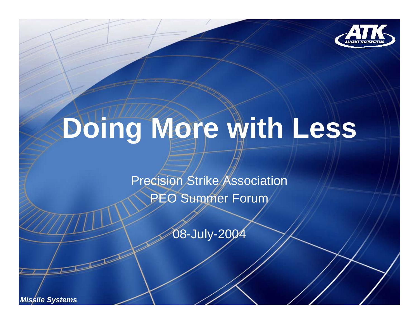

# **Doing More with Less**

Precision Strike Association

PEO Summer Forum

08-July-2004

*Missile Systems*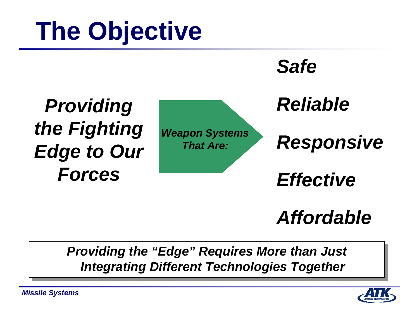### **The Objective**



#### *Affordable*

*Providing the "Edge" Requires More than Just Providing the "Edge" Requires More than Just Integrating Different Technologies Together Integrating Different Technologies Together*

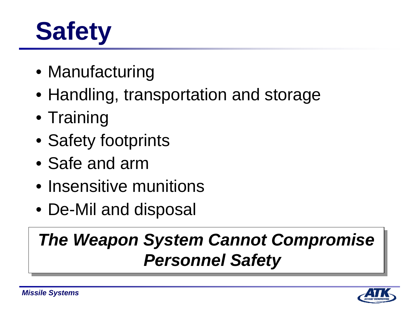## **Safety**

- Manufacturing
- Handling, transportation and storage
- Training
- Safety footprints
- Safe and arm
- Insensitive munitions
- De-Mil and disposal

### *The Weapon System Cannot Compromise The Weapon System Cannot Compromise Personnel Safety Personnel Safety*

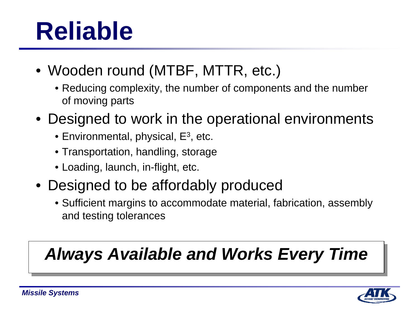### **Reliable**

- Wooden round (MTBF, MTTR, etc.)
	- Reducing complexity, the number of components and the number of moving parts
- Designed to work in the operational environments
	- $\bullet$  Environmental, physical, E $^3$ , etc.
	- Transportation, handling, storage
	- Loading, launch, in-flight, etc.
- Designed to be affordably produced
	- Sufficient margins to accommodate material, fabrication, assembly and testing tolerances

#### *Always Available and Works Every Time Always Available and Works Every Time*

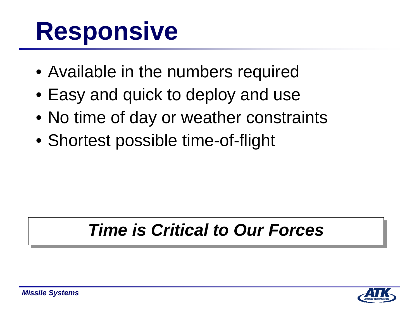### **Responsive**

- Available in the numbers required
- Easy and quick to deploy and use
- No time of day or weather constraints
- Shortest possible time-of-flight

#### *Time is Critical to Our Forces Time is Critical to Our Forces*

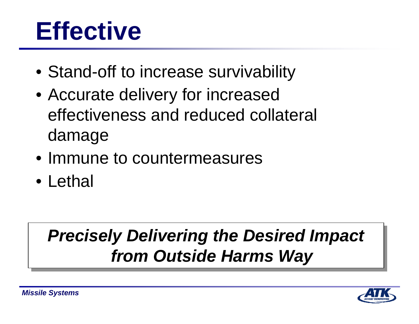### **Effective**

- Stand-off to increase survivability
- Accurate delivery for increased effectiveness and reduced collateral damage
- Immune to countermeasures
- Lethal

### *Precisely Delivering the Desired Impact Precisely Delivering the Desired Impact from Outside Harms Way from Outside Harms Way*

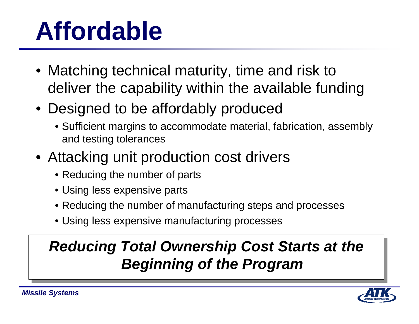### **Affordable**

- Matching technical maturity, time and risk to deliver the capability within the available funding
- Designed to be affordably produced
	- Sufficient margins to accommodate material, fabrication, assembly and testing tolerances
- Attacking unit production cost drivers
	- Reducing the number of parts
	- Using less expensive parts
	- Reducing the number of manufacturing steps and processes
	- Using less expensive manufacturing processes

#### *Reducing Total Ownership Cost Starts at the Reducing Total Ownership Cost Starts at the Beginning of the Program Beginning of the Program*

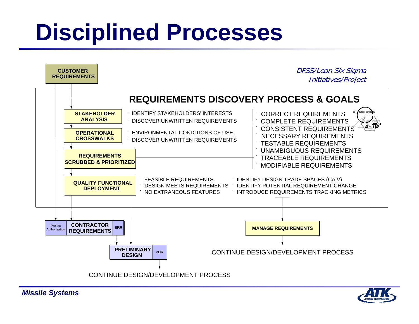### **Disciplined Processes**



*Missile Systems*